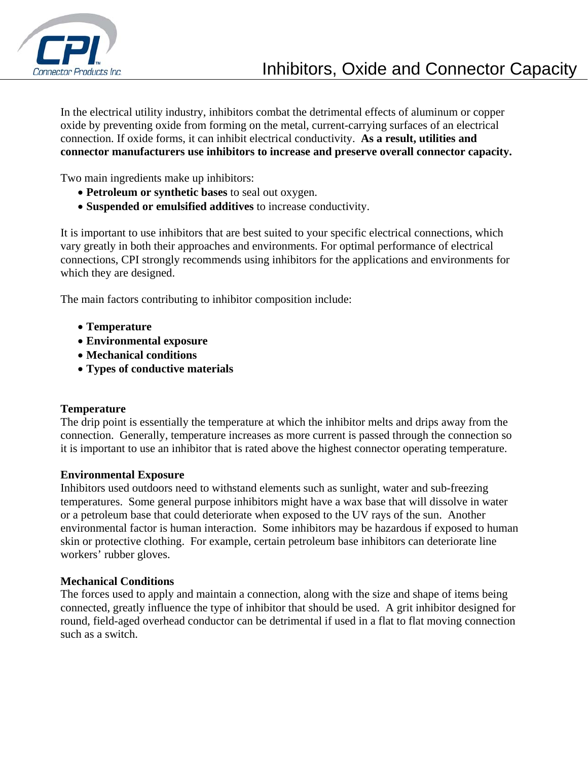

In the electrical utility industry, inhibitors combat the detrimental effects of aluminum or copper oxide by preventing oxide from forming on the metal, current-carrying surfaces of an electrical connection. If oxide forms, it can inhibit electrical conductivity. **As a result, utilities and connector manufacturers use inhibitors to increase and preserve overall connector capacity.**

Two main ingredients make up inhibitors:

- **Petroleum or synthetic bases** to seal out oxygen.
- **Suspended or emulsified additives** to increase conductivity.

It is important to use inhibitors that are best suited to your specific electrical connections, which vary greatly in both their approaches and environments. For optimal performance of electrical connections, CPI strongly recommends using inhibitors for the applications and environments for which they are designed.

The main factors contributing to inhibitor composition include:

- **Temperature**
- **Environmental exposure**
- **Mechanical conditions**
- **Types of conductive materials**

### **Temperature**

The drip point is essentially the temperature at which the inhibitor melts and drips away from the connection. Generally, temperature increases as more current is passed through the connection so it is important to use an inhibitor that is rated above the highest connector operating temperature.

#### **Environmental Exposure**

Inhibitors used outdoors need to withstand elements such as sunlight, water and sub-freezing temperatures. Some general purpose inhibitors might have a wax base that will dissolve in water or a petroleum base that could deteriorate when exposed to the UV rays of the sun. Another environmental factor is human interaction. Some inhibitors may be hazardous if exposed to human skin or protective clothing. For example, certain petroleum base inhibitors can deteriorate line workers' rubber gloves.

### **Mechanical Conditions**

The forces used to apply and maintain a connection, along with the size and shape of items being connected, greatly influence the type of inhibitor that should be used. A grit inhibitor designed for round, field-aged overhead conductor can be detrimental if used in a flat to flat moving connection such as a switch.